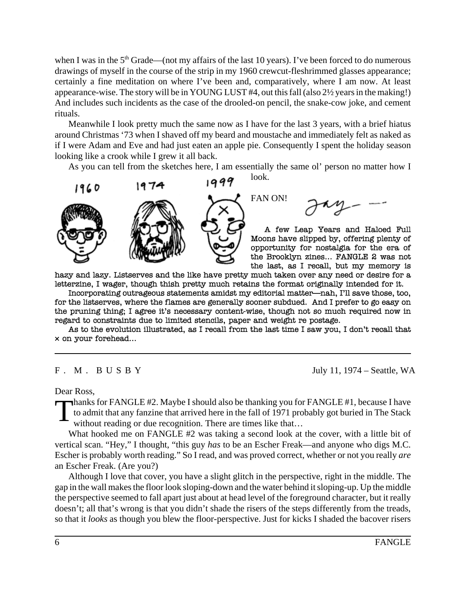when I was in the  $5<sup>th</sup> Grade$  (not my affairs of the last 10 years). I've been forced to do numerous drawings of myself in the course of the strip in my 1960 crewcut-fleshrimmed glasses appearance; certainly a fine meditation on where I've been and, comparatively, where I am now. At least appearance-wise. The story will be in YOUNG LUST #4, out this fall (also 2½ years in the making!) And includes such incidents as the case of the drooled-on pencil, the snake-cow joke, and cement rituals.

Meanwhile I look pretty much the same now as I have for the last 3 years, with a brief hiatus around Christmas '73 when I shaved off my beard and moustache and immediately felt as naked as if I were Adam and Eve and had just eaten an apple pie. Consequently I spent the holiday season looking like a crook while I grew it all back.

As you can tell from the sketches here, I am essentially the same ol' person no matter how I

look.

FAN ON!



A few Leap Years and Haloed Full Moons have slipped by, offering plenty of opportunity for nostalgia for the era of the Brooklyn zines... FANGLE 2 was not the last, as I recall, but my memory is

hazy and lazy. Listserves and the like have pretty much taken over any need or desire for a letterzine, I wager, though thish pretty much retains the format originally intended for it.

Incorporating outrageous statements amidst my editorial matter-nah, I'll save those, too, for the listserves, where the flames are generally sooner subdued. And I prefer to go easy on the pruning thing; I agree it's necessary content-wise, though not so much required now in regard to constraints due to limited stencils, paper and weight re postage.

As to the evolution illustrated, as I recall from the last time I saw you, I don't recall that  $\times$  on your forehead...

F . M . B U S B Y July 11, 1974 – Seattle, WA

Dear Ross,

Thanks for FANGLE #2. Maybe I should also be thanking you for FANGLE #1, because I have<br>to admit that any fanzine that arrived here in the fall of 1971 probably got buried in The Stack<br>without reading or due recognition. T to admit that any fanzine that arrived here in the fall of 1971 probably got buried in The Stack without reading or due recognition. There are times like that...

What hooked me on FANGLE #2 was taking a second look at the cover, with a little bit of vertical scan. "Hey," I thought, "this guy *has* to be an Escher Freak—and anyone who digs M.C. Escher is probably worth reading." So I read, and was proved correct, whether or not you really *are* an Escher Freak. (Are you?)

Although I love that cover, you have a slight glitch in the perspective, right in the middle. The gap in the wall makes the floor look sloping-down and the water behind it sloping-up. Up the middle the perspective seemed to fall apart just about at head level of the foreground character, but it really doesn't; all that's wrong is that you didn't shade the risers of the steps differently from the treads, so that it *looks* as though you blew the floor-perspective. Just for kicks I shaded the bacover risers